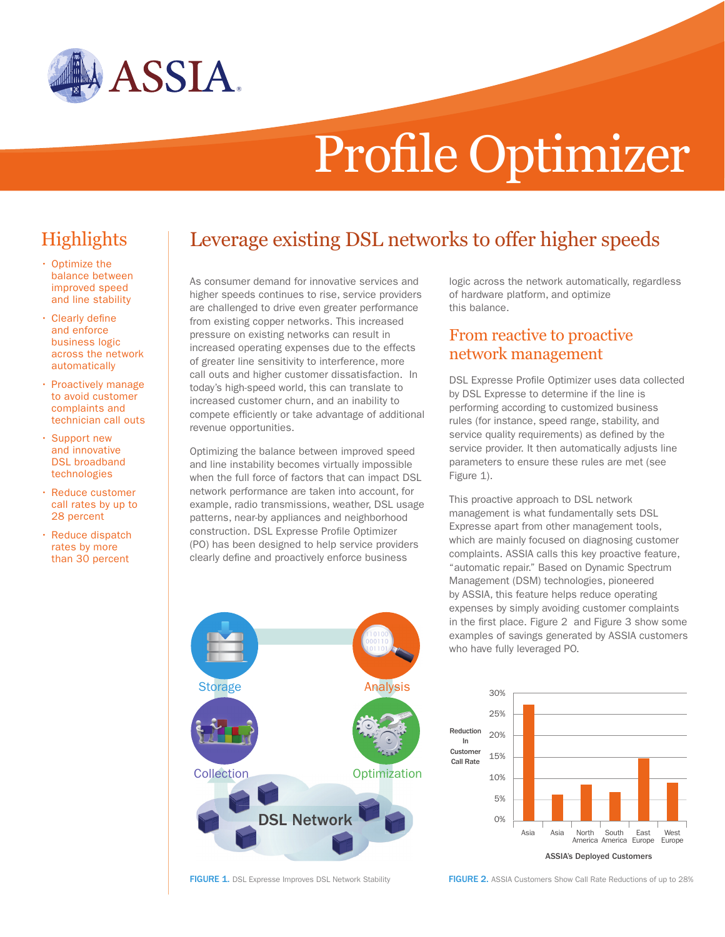

# Profile Optimizer

## **Highlights**

- • Optimize the balance between improved speed and line stability
- • Clearly define and enforce business logic across the network automatically
- • Proactively manage to avoid customer complaints and technician call outs
- • Support new and innovative DSL broadband technologies
- • Reduce customer call rates by up to 28 percent
- Reduce dispatch rates by more than 30 percent

# Leverage existing DSL networks to offer higher speeds

As consumer demand for innovative services and higher speeds continues to rise, service providers are challenged to drive even greater performance from existing copper networks. This increased pressure on existing networks can result in increased operating expenses due to the effects of greater line sensitivity to interference, more call outs and higher customer dissatisfaction. In today's high-speed world, this can translate to increased customer churn, and an inability to compete efficiently or take advantage of additional revenue opportunities.

Optimizing the balance between improved speed and line instability becomes virtually impossible when the full force of factors that can impact DSL network performance are taken into account, for example, radio transmissions, weather, DSL usage patterns, near-by appliances and neighborhood construction. DSL Expresse Profile Optimizer (PO) has been designed to help service providers clearly define and proactively enforce business

logic across the network automatically, regardless of hardware platform, and optimize this balance.

#### From reactive to proactive network management

DSL Expresse Profile Optimizer uses data collected by DSL Expresse to determine if the line is performing according to customized business rules (for instance, speed range, stability, and service quality requirements) as defined by the service provider. It then automatically adjusts line parameters to ensure these rules are met (see Figure 1).

This proactive approach to DSL network management is what fundamentally sets DSL Expresse apart from other management tools, which are mainly focused on diagnosing customer complaints. ASSIA calls this key proactive feature, "automatic repair." Based on Dynamic Spectrum Management (DSM) technologies, pioneered by ASSIA, this feature helps reduce operating expenses by simply avoiding customer complaints in the first place. Figure 2 and Figure 3 show some examples of savings generated by ASSIA customers who have fully leveraged PO.





Collection

DSL Network

**Optimization** 

Storage **Analysis**